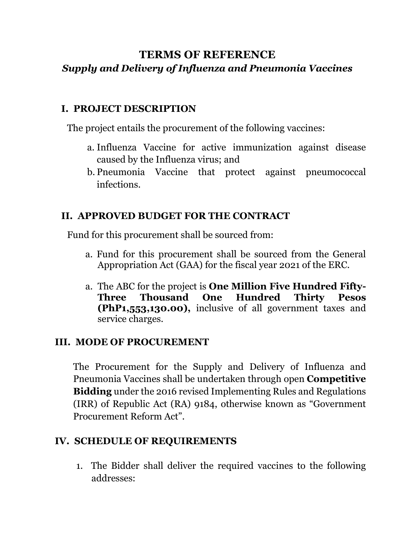# **TERMS OF REFERENCE** *Supply and Delivery of Influenza and Pneumonia Vaccines*

## **I. PROJECT DESCRIPTION**

The project entails the procurement of the following vaccines:

- a. Influenza Vaccine for active immunization against disease caused by the Influenza virus; and
- b. Pneumonia Vaccine that protect against pneumococcal infections.

## **II. APPROVED BUDGET FOR THE CONTRACT**

Fund for this procurement shall be sourced from:

- a. Fund for this procurement shall be sourced from the General Appropriation Act (GAA) for the fiscal year 2021 of the ERC.
- a. The ABC for the project is **One Million Five Hundred Fifty-Three Thousand One Hundred Thirty Pesos (PhP1,553,130.00),** inclusive of all government taxes and service charges.

# **III. MODE OF PROCUREMENT**

The Procurement for the Supply and Delivery of Influenza and Pneumonia Vaccines shall be undertaken through open **Competitive Bidding** under the 2016 revised Implementing Rules and Regulations (IRR) of Republic Act (RA) 9184, otherwise known as "Government Procurement Reform Act".

## **IV. SCHEDULE OF REQUIREMENTS**

1. The Bidder shall deliver the required vaccines to the following addresses: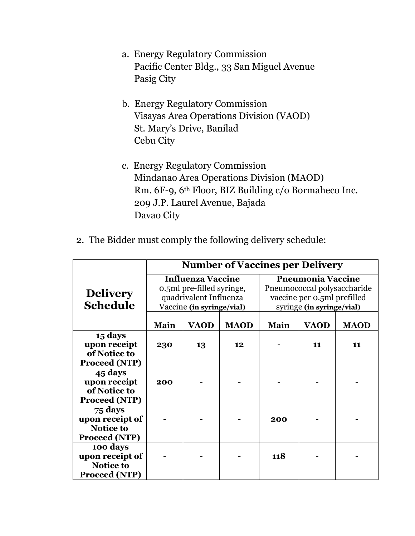- a. Energy Regulatory Commission Pacific Center Bldg., 33 San Miguel Avenue Pasig City
- b. Energy Regulatory Commission Visayas Area Operations Division (VAOD) St. Mary's Drive, Banilad Cebu City
- c. Energy Regulatory Commission Mindanao Area Operations Division (MAOD) Rm. 6F-9, 6th Floor, BIZ Building c/o Bormaheco Inc. 209 J.P. Laurel Avenue, Bajada Davao City
- 2. The Bidder must comply the following delivery schedule:

|                                                                  | <b>Number of Vaccines per Delivery</b>                                                                       |             |             |                                                                                                                     |             |             |
|------------------------------------------------------------------|--------------------------------------------------------------------------------------------------------------|-------------|-------------|---------------------------------------------------------------------------------------------------------------------|-------------|-------------|
| <b>Delivery</b><br><b>Schedule</b>                               | <b>Influenza Vaccine</b><br>0.5ml pre-filled syringe,<br>quadrivalent Influenza<br>Vaccine (in syringe/vial) |             |             | <b>Pneumonia Vaccine</b><br>Pneumococcal polysaccharide<br>vaccine per 0.5ml prefilled<br>syringe (in syringe/vial) |             |             |
|                                                                  | Main                                                                                                         | <b>VAOD</b> | <b>MAOD</b> | Main                                                                                                                | <b>VAOD</b> | <b>MAOD</b> |
| 15 days<br>upon receipt<br>of Notice to<br><b>Proceed (NTP)</b>  | 230                                                                                                          | 13          | 12          |                                                                                                                     | 11          | 11          |
| 45 days<br>upon receipt<br>of Notice to<br>Proceed (NTP)         | 200                                                                                                          |             |             |                                                                                                                     |             |             |
| 75 days<br>upon receipt of<br>Notice to<br>Proceed (NTP)         |                                                                                                              |             |             | 200                                                                                                                 |             |             |
| 100 days<br>upon receipt of<br>Notice to<br><b>Proceed (NTP)</b> |                                                                                                              |             |             | 118                                                                                                                 |             |             |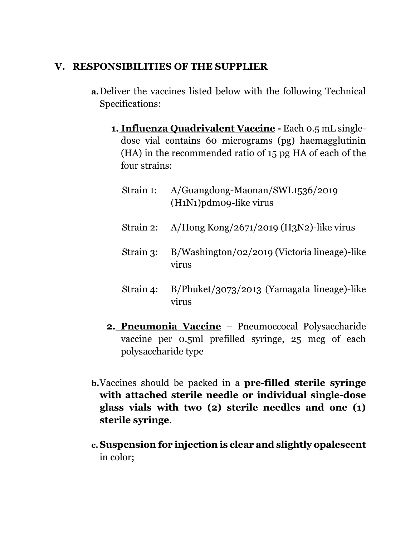### **V. RESPONSIBILITIES OF THE SUPPLIER**

- **a.**Deliver the vaccines listed below with the following Technical Specifications:
	- **1. Influenza Quadrivalent Vaccine -** Each 0.5 mL singledose vial contains 60 micrograms (pg) haemagglutinin (HA) in the recommended ratio of 15 pg HA of each of the four strains:
		- Strain 1: A/Guangdong-Maonan/SWL1536/2019 (H1N1)pdm09-like virus
		- Strain 2: A/Hong Kong/2671/2019 (H3N2)-like virus
		- Strain 3: B/Washington/02/2019 (Victoria lineage)-like virus
		- Strain 4: B/Phuket/3073/2013 (Yamagata lineage)-like virus
	- **2. Pneumonia Vaccine** Pneumoccocal Polysaccharide vaccine per 0.5ml prefilled syringe, 25 mcg of each polysaccharide type
- **b.**Vaccines should be packed in a **pre-filled sterile syringe with attached sterile needle or individual single-dose glass vials with two (2) sterile needles and one (1) sterile syringe**.
- **c.Suspension for injection is clear and slightly opalescent** in color;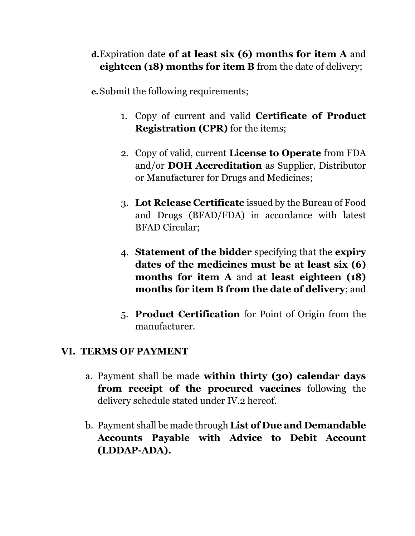# **d.**Expiration date **of at least six (6) months for item A** and **eighteen (18) months for item B** from the date of delivery;

**e.**Submit the following requirements;

- 1. Copy of current and valid **Certificate of Product Registration (CPR)** for the items;
- 2. Copy of valid, current **License to Operate** from FDA and/or **DOH Accreditation** as Supplier, Distributor or Manufacturer for Drugs and Medicines;
- 3. **Lot Release Certificate** issued by the Bureau of Food and Drugs (BFAD/FDA) in accordance with latest BFAD Circular;
- 4. **Statement of the bidder** specifying that the **expiry dates of the medicines must be at least six (6) months for item A** and **at least eighteen (18) months for item B from the date of delivery**; and
- 5. **Product Certification** for Point of Origin from the manufacturer.

# **VI. TERMS OF PAYMENT**

- a. Payment shall be made **within thirty (30) calendar days from receipt of the procured vaccines** following the delivery schedule stated under IV.2 hereof.
- b. Payment shall be made through **List of Due and Demandable Accounts Payable with Advice to Debit Account (LDDAP-ADA).**